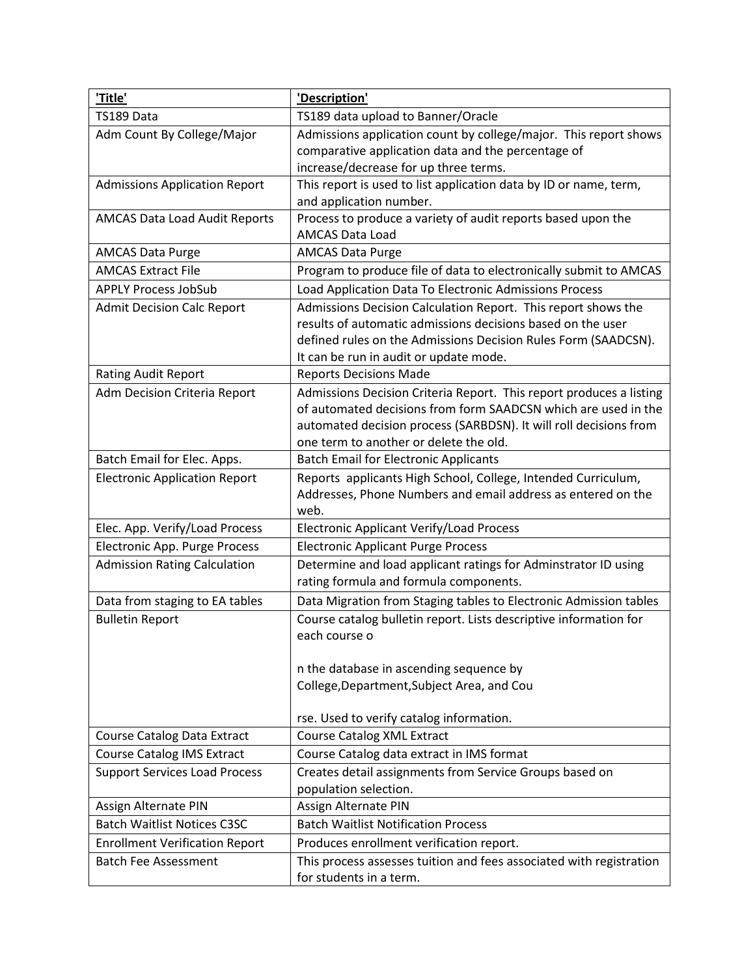| 'Title'                                              | 'Description'                                                                                                                                                                                                                                        |
|------------------------------------------------------|------------------------------------------------------------------------------------------------------------------------------------------------------------------------------------------------------------------------------------------------------|
| TS189 Data                                           | TS189 data upload to Banner/Oracle                                                                                                                                                                                                                   |
| Adm Count By College/Major                           | Admissions application count by college/major. This report shows                                                                                                                                                                                     |
|                                                      | comparative application data and the percentage of                                                                                                                                                                                                   |
|                                                      | increase/decrease for up three terms.                                                                                                                                                                                                                |
| <b>Admissions Application Report</b>                 | This report is used to list application data by ID or name, term,                                                                                                                                                                                    |
|                                                      | and application number.                                                                                                                                                                                                                              |
| <b>AMCAS Data Load Audit Reports</b>                 | Process to produce a variety of audit reports based upon the                                                                                                                                                                                         |
|                                                      | <b>AMCAS Data Load</b>                                                                                                                                                                                                                               |
| <b>AMCAS Data Purge</b><br><b>AMCAS Extract File</b> | <b>AMCAS Data Purge</b>                                                                                                                                                                                                                              |
|                                                      | Program to produce file of data to electronically submit to AMCAS                                                                                                                                                                                    |
| <b>APPLY Process JobSub</b>                          | Load Application Data To Electronic Admissions Process                                                                                                                                                                                               |
| <b>Admit Decision Calc Report</b>                    | Admissions Decision Calculation Report. This report shows the<br>results of automatic admissions decisions based on the user<br>defined rules on the Admissions Decision Rules Form (SAADCSN).<br>It can be run in audit or update mode.             |
| Rating Audit Report                                  | <b>Reports Decisions Made</b>                                                                                                                                                                                                                        |
| Adm Decision Criteria Report                         | Admissions Decision Criteria Report. This report produces a listing<br>of automated decisions from form SAADCSN which are used in the<br>automated decision process (SARBDSN). It will roll decisions from<br>one term to another or delete the old. |
| Batch Email for Elec. Apps.                          | <b>Batch Email for Electronic Applicants</b>                                                                                                                                                                                                         |
| <b>Electronic Application Report</b>                 | Reports applicants High School, College, Intended Curriculum,<br>Addresses, Phone Numbers and email address as entered on the<br>web.                                                                                                                |
| Elec. App. Verify/Load Process                       | <b>Electronic Applicant Verify/Load Process</b>                                                                                                                                                                                                      |
| Electronic App. Purge Process                        | <b>Electronic Applicant Purge Process</b>                                                                                                                                                                                                            |
| <b>Admission Rating Calculation</b>                  | Determine and load applicant ratings for Adminstrator ID using<br>rating formula and formula components.                                                                                                                                             |
| Data from staging to EA tables                       | Data Migration from Staging tables to Electronic Admission tables                                                                                                                                                                                    |
| <b>Bulletin Report</b>                               | Course catalog bulletin report. Lists descriptive information for<br>each course o                                                                                                                                                                   |
|                                                      | n the database in ascending sequence by                                                                                                                                                                                                              |
|                                                      | College, Department, Subject Area, and Cou                                                                                                                                                                                                           |
|                                                      | rse. Used to verify catalog information.                                                                                                                                                                                                             |
| <b>Course Catalog Data Extract</b>                   | <b>Course Catalog XML Extract</b>                                                                                                                                                                                                                    |
| <b>Course Catalog IMS Extract</b>                    | Course Catalog data extract in IMS format                                                                                                                                                                                                            |
| <b>Support Services Load Process</b>                 | Creates detail assignments from Service Groups based on<br>population selection.                                                                                                                                                                     |
| Assign Alternate PIN                                 | Assign Alternate PIN                                                                                                                                                                                                                                 |
| <b>Batch Waitlist Notices C3SC</b>                   | <b>Batch Waitlist Notification Process</b>                                                                                                                                                                                                           |
| <b>Enrollment Verification Report</b>                | Produces enrollment verification report.                                                                                                                                                                                                             |
| <b>Batch Fee Assessment</b>                          | This process assesses tuition and fees associated with registration<br>for students in a term.                                                                                                                                                       |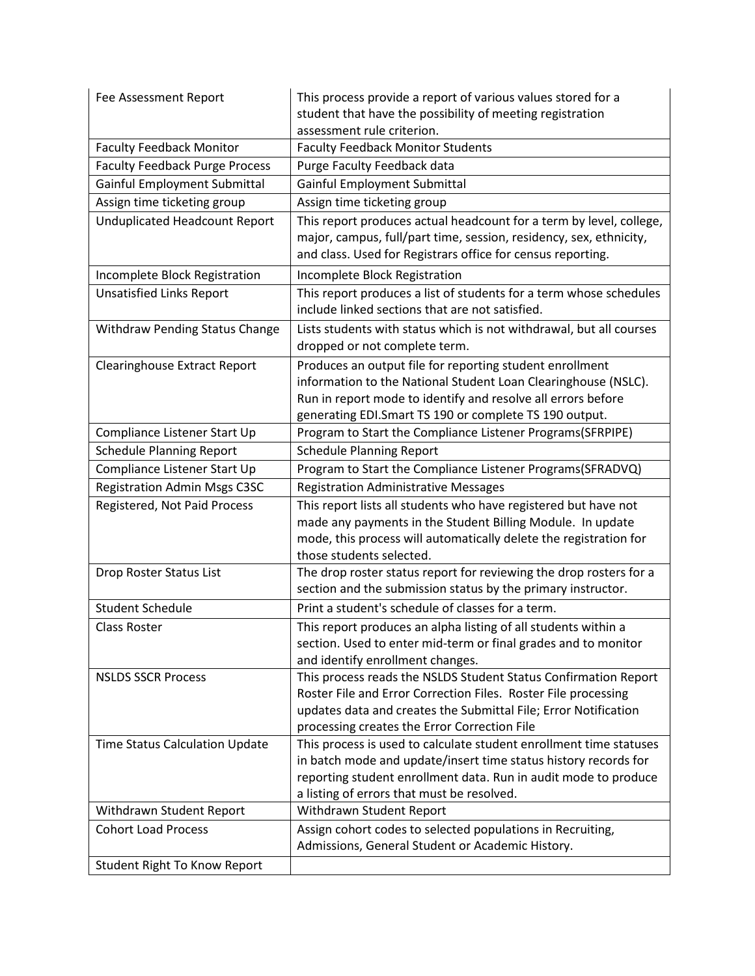| Fee Assessment Report                 | This process provide a report of various values stored for a<br>student that have the possibility of meeting registration                                                                                                                              |
|---------------------------------------|--------------------------------------------------------------------------------------------------------------------------------------------------------------------------------------------------------------------------------------------------------|
|                                       | assessment rule criterion.                                                                                                                                                                                                                             |
| <b>Faculty Feedback Monitor</b>       | <b>Faculty Feedback Monitor Students</b>                                                                                                                                                                                                               |
| <b>Faculty Feedback Purge Process</b> | Purge Faculty Feedback data                                                                                                                                                                                                                            |
| Gainful Employment Submittal          | Gainful Employment Submittal                                                                                                                                                                                                                           |
| Assign time ticketing group           | Assign time ticketing group                                                                                                                                                                                                                            |
| <b>Unduplicated Headcount Report</b>  | This report produces actual headcount for a term by level, college,<br>major, campus, full/part time, session, residency, sex, ethnicity,<br>and class. Used for Registrars office for census reporting.                                               |
| Incomplete Block Registration         | Incomplete Block Registration                                                                                                                                                                                                                          |
| <b>Unsatisfied Links Report</b>       | This report produces a list of students for a term whose schedules<br>include linked sections that are not satisfied.                                                                                                                                  |
| Withdraw Pending Status Change        | Lists students with status which is not withdrawal, but all courses<br>dropped or not complete term.                                                                                                                                                   |
| <b>Clearinghouse Extract Report</b>   | Produces an output file for reporting student enrollment<br>information to the National Student Loan Clearinghouse (NSLC).<br>Run in report mode to identify and resolve all errors before<br>generating EDI.Smart TS 190 or complete TS 190 output.   |
| Compliance Listener Start Up          | Program to Start the Compliance Listener Programs(SFRPIPE)                                                                                                                                                                                             |
| <b>Schedule Planning Report</b>       | <b>Schedule Planning Report</b>                                                                                                                                                                                                                        |
| Compliance Listener Start Up          | Program to Start the Compliance Listener Programs(SFRADVQ)                                                                                                                                                                                             |
|                                       |                                                                                                                                                                                                                                                        |
| Registration Admin Msgs C3SC          | <b>Registration Administrative Messages</b>                                                                                                                                                                                                            |
| Registered, Not Paid Process          | This report lists all students who have registered but have not<br>made any payments in the Student Billing Module. In update<br>mode, this process will automatically delete the registration for<br>those students selected.                         |
| Drop Roster Status List               | The drop roster status report for reviewing the drop rosters for a<br>section and the submission status by the primary instructor.                                                                                                                     |
| <b>Student Schedule</b>               | Print a student's schedule of classes for a term.                                                                                                                                                                                                      |
| <b>Class Roster</b>                   | This report produces an alpha listing of all students within a<br>section. Used to enter mid-term or final grades and to monitor<br>and identify enrollment changes.                                                                                   |
| <b>NSLDS SSCR Process</b>             | This process reads the NSLDS Student Status Confirmation Report<br>Roster File and Error Correction Files. Roster File processing<br>updates data and creates the Submittal File; Error Notification<br>processing creates the Error Correction File   |
| Time Status Calculation Update        | This process is used to calculate student enrollment time statuses<br>in batch mode and update/insert time status history records for<br>reporting student enrollment data. Run in audit mode to produce<br>a listing of errors that must be resolved. |
| Withdrawn Student Report              | Withdrawn Student Report                                                                                                                                                                                                                               |
| <b>Cohort Load Process</b>            | Assign cohort codes to selected populations in Recruiting,<br>Admissions, General Student or Academic History.                                                                                                                                         |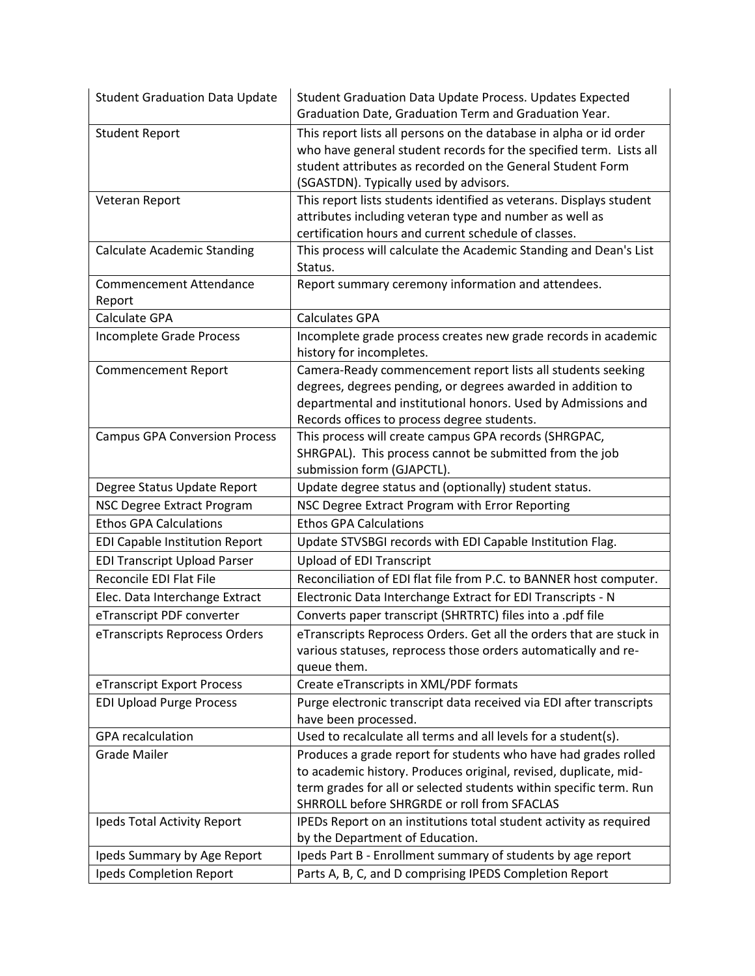| <b>Student Graduation Data Update</b>    | Student Graduation Data Update Process. Updates Expected<br>Graduation Date, Graduation Term and Graduation Year.                                                                                                                                        |
|------------------------------------------|----------------------------------------------------------------------------------------------------------------------------------------------------------------------------------------------------------------------------------------------------------|
| <b>Student Report</b>                    | This report lists all persons on the database in alpha or id order<br>who have general student records for the specified term. Lists all<br>student attributes as recorded on the General Student Form<br>(SGASTDN). Typically used by advisors.         |
| Veteran Report                           | This report lists students identified as veterans. Displays student<br>attributes including veteran type and number as well as<br>certification hours and current schedule of classes.                                                                   |
| <b>Calculate Academic Standing</b>       | This process will calculate the Academic Standing and Dean's List<br>Status.                                                                                                                                                                             |
| <b>Commencement Attendance</b><br>Report | Report summary ceremony information and attendees.                                                                                                                                                                                                       |
| Calculate GPA                            | <b>Calculates GPA</b>                                                                                                                                                                                                                                    |
| Incomplete Grade Process                 | Incomplete grade process creates new grade records in academic<br>history for incompletes.                                                                                                                                                               |
| <b>Commencement Report</b>               | Camera-Ready commencement report lists all students seeking<br>degrees, degrees pending, or degrees awarded in addition to<br>departmental and institutional honors. Used by Admissions and<br>Records offices to process degree students.               |
| <b>Campus GPA Conversion Process</b>     | This process will create campus GPA records (SHRGPAC,<br>SHRGPAL). This process cannot be submitted from the job<br>submission form (GJAPCTL).                                                                                                           |
| Degree Status Update Report              | Update degree status and (optionally) student status.                                                                                                                                                                                                    |
| NSC Degree Extract Program               | NSC Degree Extract Program with Error Reporting                                                                                                                                                                                                          |
| <b>Ethos GPA Calculations</b>            | <b>Ethos GPA Calculations</b>                                                                                                                                                                                                                            |
| <b>EDI Capable Institution Report</b>    | Update STVSBGI records with EDI Capable Institution Flag.                                                                                                                                                                                                |
| <b>EDI Transcript Upload Parser</b>      | <b>Upload of EDI Transcript</b>                                                                                                                                                                                                                          |
| Reconcile EDI Flat File                  | Reconciliation of EDI flat file from P.C. to BANNER host computer.                                                                                                                                                                                       |
| Elec. Data Interchange Extract           | Electronic Data Interchange Extract for EDI Transcripts - N                                                                                                                                                                                              |
| eTranscript PDF converter                | Converts paper transcript (SHRTRTC) files into a .pdf file                                                                                                                                                                                               |
| eTranscripts Reprocess Orders            | eTranscripts Reprocess Orders. Get all the orders that are stuck in<br>various statuses, reprocess those orders automatically and re-<br>queue them.                                                                                                     |
| eTranscript Export Process               | Create eTranscripts in XML/PDF formats                                                                                                                                                                                                                   |
| <b>EDI Upload Purge Process</b>          | Purge electronic transcript data received via EDI after transcripts<br>have been processed.                                                                                                                                                              |
| <b>GPA</b> recalculation                 | Used to recalculate all terms and all levels for a student(s).                                                                                                                                                                                           |
| <b>Grade Mailer</b>                      | Produces a grade report for students who have had grades rolled<br>to academic history. Produces original, revised, duplicate, mid-<br>term grades for all or selected students within specific term. Run<br>SHRROLL before SHRGRDE or roll from SFACLAS |
| Ipeds Total Activity Report              | IPEDs Report on an institutions total student activity as required<br>by the Department of Education.                                                                                                                                                    |
| Ipeds Summary by Age Report              | Ipeds Part B - Enrollment summary of students by age report                                                                                                                                                                                              |
| Ipeds Completion Report                  | Parts A, B, C, and D comprising IPEDS Completion Report                                                                                                                                                                                                  |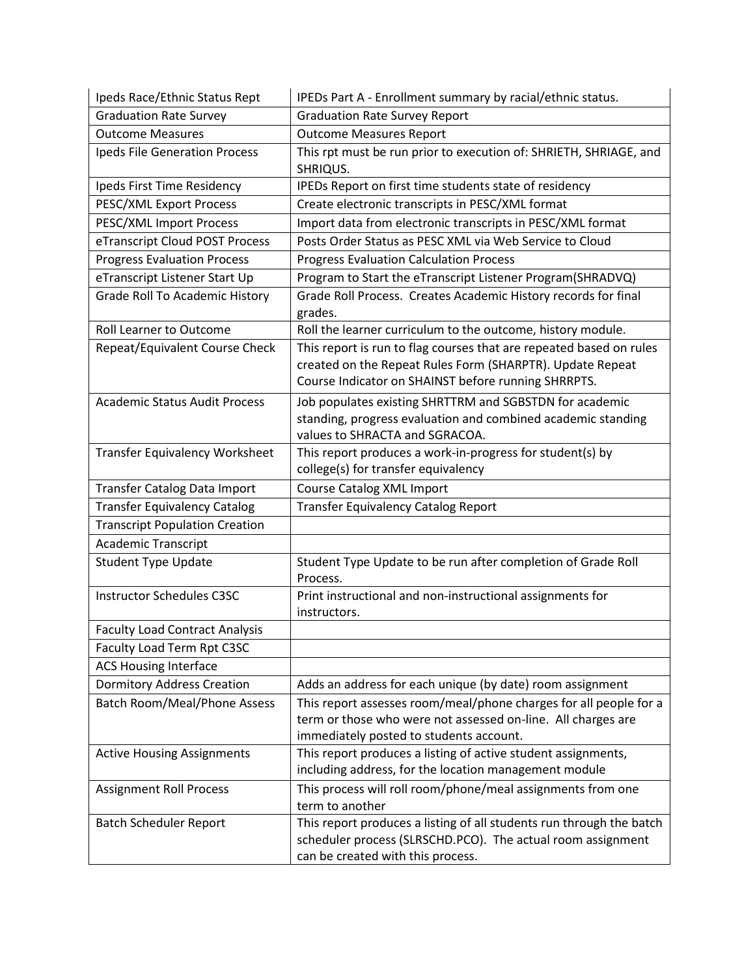| Ipeds Race/Ethnic Status Rept         | IPEDs Part A - Enrollment summary by racial/ethnic status.                                                                                                                              |
|---------------------------------------|-----------------------------------------------------------------------------------------------------------------------------------------------------------------------------------------|
| <b>Graduation Rate Survey</b>         | <b>Graduation Rate Survey Report</b>                                                                                                                                                    |
| <b>Outcome Measures</b>               | <b>Outcome Measures Report</b>                                                                                                                                                          |
| Ipeds File Generation Process         | This rpt must be run prior to execution of: SHRIETH, SHRIAGE, and<br>SHRIQUS.                                                                                                           |
| Ipeds First Time Residency            | IPEDs Report on first time students state of residency                                                                                                                                  |
| PESC/XML Export Process               | Create electronic transcripts in PESC/XML format                                                                                                                                        |
| PESC/XML Import Process               | Import data from electronic transcripts in PESC/XML format                                                                                                                              |
| eTranscript Cloud POST Process        | Posts Order Status as PESC XML via Web Service to Cloud                                                                                                                                 |
| <b>Progress Evaluation Process</b>    | <b>Progress Evaluation Calculation Process</b>                                                                                                                                          |
| eTranscript Listener Start Up         | Program to Start the eTranscript Listener Program(SHRADVQ)                                                                                                                              |
| <b>Grade Roll To Academic History</b> | Grade Roll Process. Creates Academic History records for final<br>grades.                                                                                                               |
| <b>Roll Learner to Outcome</b>        | Roll the learner curriculum to the outcome, history module.                                                                                                                             |
| Repeat/Equivalent Course Check        | This report is run to flag courses that are repeated based on rules<br>created on the Repeat Rules Form (SHARPTR). Update Repeat<br>Course Indicator on SHAINST before running SHRRPTS. |
| <b>Academic Status Audit Process</b>  | Job populates existing SHRTTRM and SGBSTDN for academic<br>standing, progress evaluation and combined academic standing<br>values to SHRACTA and SGRACOA.                               |
| <b>Transfer Equivalency Worksheet</b> | This report produces a work-in-progress for student(s) by<br>college(s) for transfer equivalency                                                                                        |
| Transfer Catalog Data Import          | Course Catalog XML Import                                                                                                                                                               |
| <b>Transfer Equivalency Catalog</b>   | <b>Transfer Equivalency Catalog Report</b>                                                                                                                                              |
| <b>Transcript Population Creation</b> |                                                                                                                                                                                         |
| <b>Academic Transcript</b>            |                                                                                                                                                                                         |
| <b>Student Type Update</b>            | Student Type Update to be run after completion of Grade Roll<br>Process.                                                                                                                |
| <b>Instructor Schedules C3SC</b>      | Print instructional and non-instructional assignments for<br>instructors.                                                                                                               |
| <b>Faculty Load Contract Analysis</b> |                                                                                                                                                                                         |
| Faculty Load Term Rpt C3SC            |                                                                                                                                                                                         |
| <b>ACS Housing Interface</b>          |                                                                                                                                                                                         |
| <b>Dormitory Address Creation</b>     | Adds an address for each unique (by date) room assignment                                                                                                                               |
| Batch Room/Meal/Phone Assess          | This report assesses room/meal/phone charges for all people for a<br>term or those who were not assessed on-line. All charges are<br>immediately posted to students account.            |
| <b>Active Housing Assignments</b>     | This report produces a listing of active student assignments,<br>including address, for the location management module                                                                  |
| <b>Assignment Roll Process</b>        | This process will roll room/phone/meal assignments from one<br>term to another                                                                                                          |
| <b>Batch Scheduler Report</b>         | This report produces a listing of all students run through the batch<br>scheduler process (SLRSCHD.PCO). The actual room assignment<br>can be created with this process.                |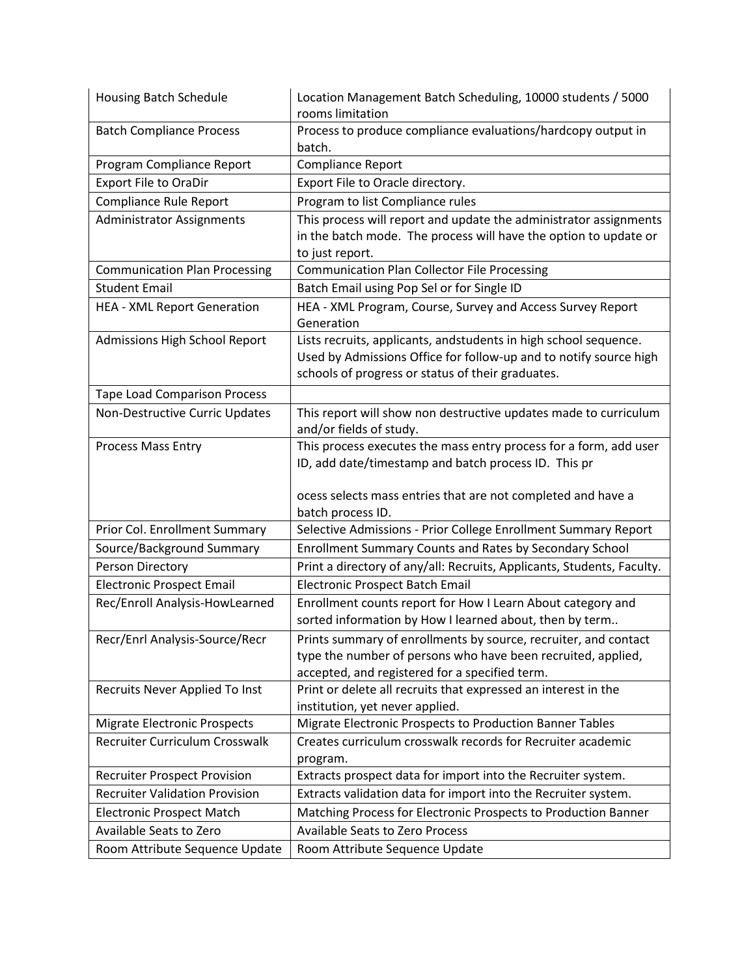| Housing Batch Schedule                | Location Management Batch Scheduling, 10000 students / 5000<br>rooms limitation                                                                                                            |
|---------------------------------------|--------------------------------------------------------------------------------------------------------------------------------------------------------------------------------------------|
| <b>Batch Compliance Process</b>       | Process to produce compliance evaluations/hardcopy output in<br>batch.                                                                                                                     |
| Program Compliance Report             | Compliance Report                                                                                                                                                                          |
| <b>Export File to OraDir</b>          | Export File to Oracle directory.                                                                                                                                                           |
| Compliance Rule Report                | Program to list Compliance rules                                                                                                                                                           |
| <b>Administrator Assignments</b>      | This process will report and update the administrator assignments<br>in the batch mode. The process will have the option to update or<br>to just report.                                   |
| <b>Communication Plan Processing</b>  | <b>Communication Plan Collector File Processing</b>                                                                                                                                        |
| <b>Student Email</b>                  | Batch Email using Pop Sel or for Single ID                                                                                                                                                 |
| <b>HEA - XML Report Generation</b>    | HEA - XML Program, Course, Survey and Access Survey Report<br>Generation                                                                                                                   |
| Admissions High School Report         | Lists recruits, applicants, andstudents in high school sequence.<br>Used by Admissions Office for follow-up and to notify source high<br>schools of progress or status of their graduates. |
| <b>Tape Load Comparison Process</b>   |                                                                                                                                                                                            |
| Non-Destructive Curric Updates        | This report will show non destructive updates made to curriculum<br>and/or fields of study.                                                                                                |
| <b>Process Mass Entry</b>             | This process executes the mass entry process for a form, add user<br>ID, add date/timestamp and batch process ID. This pr<br>ocess selects mass entries that are not completed and have a  |
|                                       | batch process ID.                                                                                                                                                                          |
| Prior Col. Enrollment Summary         | Selective Admissions - Prior College Enrollment Summary Report                                                                                                                             |
| Source/Background Summary             | Enrollment Summary Counts and Rates by Secondary School                                                                                                                                    |
| Person Directory                      | Print a directory of any/all: Recruits, Applicants, Students, Faculty.                                                                                                                     |
| <b>Electronic Prospect Email</b>      | <b>Electronic Prospect Batch Email</b>                                                                                                                                                     |
| Rec/Enroll Analysis-HowLearned        | Enrollment counts report for How I Learn About category and<br>sorted information by How I learned about, then by term                                                                     |
| Recr/Enrl Analysis-Source/Recr        | Prints summary of enrollments by source, recruiter, and contact<br>type the number of persons who have been recruited, applied,<br>accepted, and registered for a specified term.          |
| Recruits Never Applied To Inst        | Print or delete all recruits that expressed an interest in the<br>institution, yet never applied.                                                                                          |
| <b>Migrate Electronic Prospects</b>   | Migrate Electronic Prospects to Production Banner Tables                                                                                                                                   |
| Recruiter Curriculum Crosswalk        | Creates curriculum crosswalk records for Recruiter academic<br>program.                                                                                                                    |
| <b>Recruiter Prospect Provision</b>   | Extracts prospect data for import into the Recruiter system.                                                                                                                               |
| <b>Recruiter Validation Provision</b> | Extracts validation data for import into the Recruiter system.                                                                                                                             |
| <b>Electronic Prospect Match</b>      | Matching Process for Electronic Prospects to Production Banner                                                                                                                             |
| Available Seats to Zero               | <b>Available Seats to Zero Process</b>                                                                                                                                                     |
| Room Attribute Sequence Update        | Room Attribute Sequence Update                                                                                                                                                             |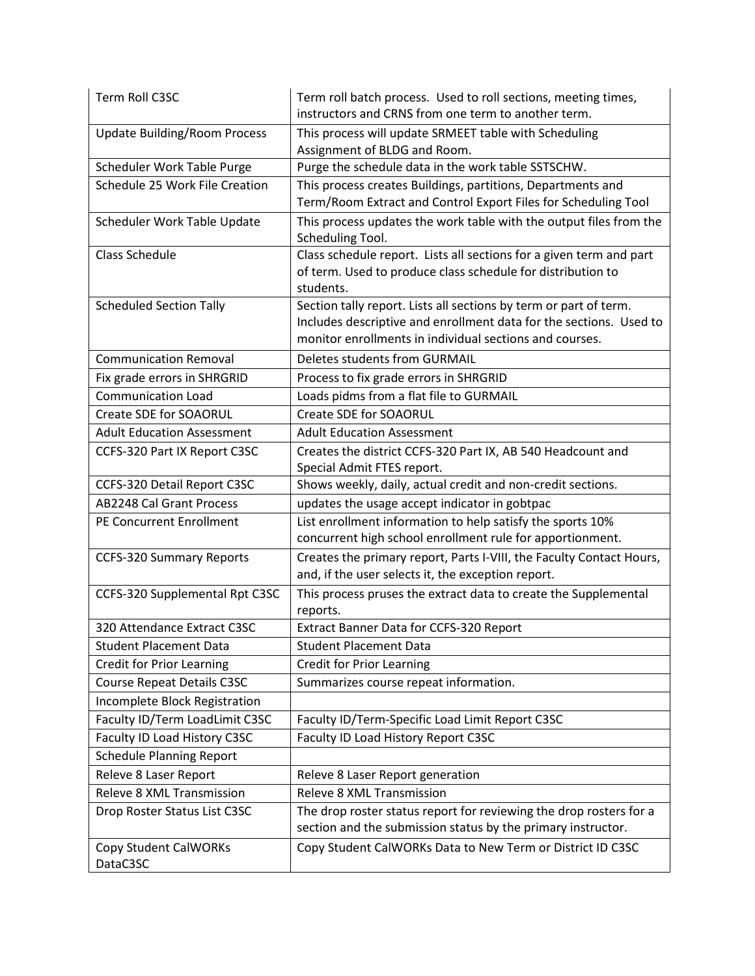| Term Roll C3SC                           | Term roll batch process. Used to roll sections, meeting times,<br>instructors and CRNS from one term to another term.                                                                              |
|------------------------------------------|----------------------------------------------------------------------------------------------------------------------------------------------------------------------------------------------------|
| <b>Update Building/Room Process</b>      | This process will update SRMEET table with Scheduling<br>Assignment of BLDG and Room.                                                                                                              |
| Scheduler Work Table Purge               | Purge the schedule data in the work table SSTSCHW.                                                                                                                                                 |
| Schedule 25 Work File Creation           | This process creates Buildings, partitions, Departments and<br>Term/Room Extract and Control Export Files for Scheduling Tool                                                                      |
| Scheduler Work Table Update              | This process updates the work table with the output files from the<br>Scheduling Tool.                                                                                                             |
| <b>Class Schedule</b>                    | Class schedule report. Lists all sections for a given term and part<br>of term. Used to produce class schedule for distribution to<br>students.                                                    |
| <b>Scheduled Section Tally</b>           | Section tally report. Lists all sections by term or part of term.<br>Includes descriptive and enrollment data for the sections. Used to<br>monitor enrollments in individual sections and courses. |
| <b>Communication Removal</b>             | Deletes students from GURMAIL                                                                                                                                                                      |
| Fix grade errors in SHRGRID              | Process to fix grade errors in SHRGRID                                                                                                                                                             |
| <b>Communication Load</b>                | Loads pidms from a flat file to GURMAIL                                                                                                                                                            |
| Create SDE for SOAORUL                   | <b>Create SDE for SOAORUL</b>                                                                                                                                                                      |
| <b>Adult Education Assessment</b>        | <b>Adult Education Assessment</b>                                                                                                                                                                  |
| CCFS-320 Part IX Report C3SC             | Creates the district CCFS-320 Part IX, AB 540 Headcount and<br>Special Admit FTES report.                                                                                                          |
| CCFS-320 Detail Report C3SC              | Shows weekly, daily, actual credit and non-credit sections.                                                                                                                                        |
| <b>AB2248 Cal Grant Process</b>          | updates the usage accept indicator in gobtpac                                                                                                                                                      |
| <b>PE Concurrent Enrollment</b>          | List enrollment information to help satisfy the sports 10%<br>concurrent high school enrollment rule for apportionment.                                                                            |
| <b>CCFS-320 Summary Reports</b>          | Creates the primary report, Parts I-VIII, the Faculty Contact Hours,<br>and, if the user selects it, the exception report.                                                                         |
| CCFS-320 Supplemental Rpt C3SC           | This process pruses the extract data to create the Supplemental<br>reports.                                                                                                                        |
| 320 Attendance Extract C3SC              | Extract Banner Data for CCFS-320 Report                                                                                                                                                            |
| <b>Student Placement Data</b>            | <b>Student Placement Data</b>                                                                                                                                                                      |
| <b>Credit for Prior Learning</b>         | <b>Credit for Prior Learning</b>                                                                                                                                                                   |
| <b>Course Repeat Details C3SC</b>        | Summarizes course repeat information.                                                                                                                                                              |
| Incomplete Block Registration            |                                                                                                                                                                                                    |
| Faculty ID/Term LoadLimit C3SC           | Faculty ID/Term-Specific Load Limit Report C3SC                                                                                                                                                    |
| Faculty ID Load History C3SC             | Faculty ID Load History Report C3SC                                                                                                                                                                |
| <b>Schedule Planning Report</b>          |                                                                                                                                                                                                    |
| Releve 8 Laser Report                    | Releve 8 Laser Report generation                                                                                                                                                                   |
| Releve 8 XML Transmission                | Releve 8 XML Transmission                                                                                                                                                                          |
| Drop Roster Status List C3SC             | The drop roster status report for reviewing the drop rosters for a<br>section and the submission status by the primary instructor.                                                                 |
| <b>Copy Student CalWORKs</b><br>DataC3SC | Copy Student CalWORKs Data to New Term or District ID C3SC                                                                                                                                         |